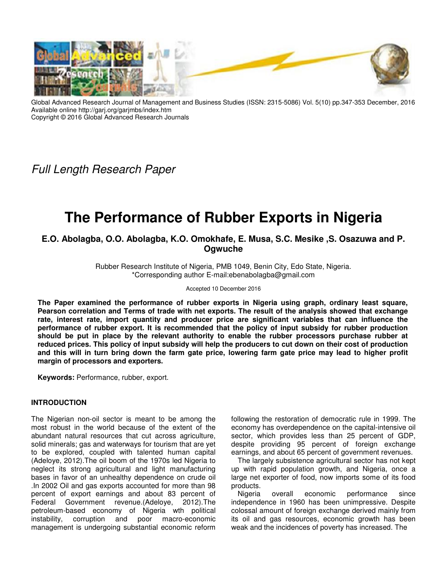

Global Advanced Research Journal of Management and Business Studies (ISSN: 2315-5086) Vol. 5(10) pp.347-353 December, 2016 Available online http://garj.org/garjmbs/index.htm Copyright © 2016 Global Advanced Research Journals

Full Length Research Paper

# **The Performance of Rubber Exports in Nigeria**

**E.O. Abolagba, O.O. Abolagba, K.O. Omokhafe, E. Musa, S.C. Mesike ,S. Osazuwa and P. Ogwuche** 

> Rubber Research Institute of Nigeria, PMB 1049, Benin City, Edo State, Nigeria. \*Corresponding author E-mail:ebenabolagba@gmail.com

> > Accepted 10 December 2016

**The Paper examined the performance of rubber exports in Nigeria using graph, ordinary least square, Pearson correlation and Terms of trade with net exports. The result of the analysis showed that exchange rate, interest rate, import quantity and producer price are significant variables that can influence the performance of rubber export. It is recommended that the policy of input subsidy for rubber production should be put in place by the relevant authority to enable the rubber processors purchase rubber at reduced prices. This policy of input subsidy will help the producers to cut down on their cost of production and this will in turn bring down the farm gate price, lowering farm gate price may lead to higher profit margin of processors and exporters.** 

**Keywords:** Performance, rubber, export.

#### **INTRODUCTION**

The Nigerian non-oil sector is meant to be among the most robust in the world because of the extent of the abundant natural resources that cut across agriculture, solid minerals; gas and waterways for tourism that are yet to be explored, coupled with talented human capital (Adeloye, 2012).The oil boom of the 1970s led Nigeria to neglect its strong agricultural and light manufacturing bases in favor of an unhealthy dependence on crude oil .In 2002 Oil and gas exports accounted for more than 98 percent of export earnings and about 83 percent of Federal Government revenue.(Adeloye, 2012).The petroleum-based economy of Nigeria wth political<br>instability, corruption and poor macro-economic instability, corruption and poor macro-economic management is undergoing substantial economic reform

following the restoration of democratic rule in 1999. The economy has overdependence on the capital-intensive oil sector, which provides less than 25 percent of GDP, despite providing 95 percent of foreign exchange earnings, and about 65 percent of government revenues.

The largely subsistence agricultural sector has not kept up with rapid population growth, and Nigeria, once a large net exporter of food, now imports some of its food products.

Nigeria overall economic performance since independence in 1960 has been unimpressive. Despite colossal amount of foreign exchange derived mainly from its oil and gas resources, economic growth has been weak and the incidences of poverty has increased. The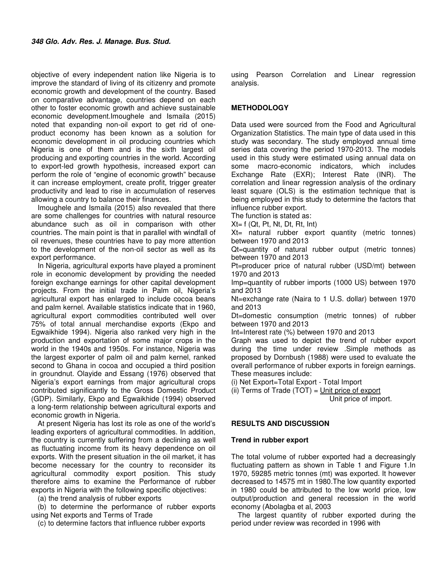objective of every independent nation like Nigeria is to improve the standard of living of its citizenry and promote economic growth and development of the country. Based on comparative advantage, countries depend on each other to foster economic growth and achieve sustainable economic development.Imoughele and Ismaila (2015) noted that expanding non-oil export to get rid of oneproduct economy has been known as a solution for economic development in oil producing countries which Nigeria is one of them and is the sixth largest oil producing and exporting countries in the world. According to export-led growth hypothesis, increased export can perform the role of "engine of economic growth" because it can increase employment, create profit, trigger greater productivity and lead to rise in accumulation of reserves allowing a country to balance their finances.

Imoughele and Ismaila (2015) also revealed that there are some challenges for countries with natural resource abundance such as oil in comparison with other countries. The main point is that in parallel with windfall of oil revenues, these countries have to pay more attention to the development of the non-oil sector as well as its export performance.

In Nigeria, agricultural exports have played a prominent role in economic development by providing the needed foreign exchange earnings for other capital development projects. From the initial trade in Palm oil, Nigeria's agricultural export has enlarged to include cocoa beans and palm kernel. Available statistics indicate that in 1960, agricultural export commodities contributed well over 75% of total annual merchandise exports (Ekpo and Egwaikhide 1994). Nigeria also ranked very high in the production and exportation of some major crops in the world in the 1940s and 1950s. For instance, Nigeria was the largest exporter of palm oil and palm kernel, ranked second to Ghana in cocoa and occupied a third position in groundnut. Olayide and Essang (1976) observed that Nigeria's export earnings from major agricultural crops contributed significantly to the Gross Domestic Product (GDP). Similarly, Ekpo and Egwaikhide (1994) observed a long-term relationship between agricultural exports and economic growth in Nigeria.

At present Nigeria has lost its role as one of the world's leading exporters of agricultural commodities. In addition, the country is currently suffering from a declining as well as fluctuating income from its heavy dependence on oil exports. With the present situation in the oil market, it has become necessary for the country to reconsider its agricultural commodity export position. This study therefore aims to examine the Performance of rubber exports in Nigeria with the following specific objectives:

(a) the trend analysis of rubber exports

(b) to determine the performance of rubber exports using Net exports and Terms of Trade

(c) to determine factors that influence rubber exports

using Pearson Correlation and Linear regression analysis.

## **METHODOLOGY**

Data used were sourced from the Food and Agricultural Organization Statistics. The main type of data used in this study was secondary. The study employed annual time series data covering the period 1970-2013. The models used in this study were estimated using annual data on some macro-economic indicators, which includes Exchange Rate (EXR); Interest Rate (INR). The correlation and linear regression analysis of the ordinary least square (OLS) is the estimation technique that is being employed in this study to determine the factors that influence rubber export.

The function is stated as:

 $Xt = f$  (Qt, Pt, Nt, Dt, Rt, Int)

Xt= natural rubber export quantity (metric tonnes) between 1970 and 2013

Qt=quantity of natural rubber output (metric tonnes) between 1970 and 2013

Pt=producer price of natural rubber (USD/mt) between 1970 and 2013

Imp=quantity of rubber imports (1000 US) between 1970 and 2013

Nt=exchange rate (Naira to 1 U.S. dollar) between 1970 and 2013

Dt=domestic consumption (metric tonnes) of rubber between 1970 and 2013

Int=Interest rate (%) between 1970 and 2013

Graph was used to depict the trend of rubber export during the time under review .Simple methods as proposed by Dornbush (1988) were used to evaluate the overall performance of rubber exports in foreign earnings. These measures include:

(i) Net Export=Total Export - Total Import

(ii) Terms of Trade  $(TOT) =$  Unit price of export

Unit price of import.

#### **RESULTS AND DISCUSSION**

#### **Trend in rubber export**

The total volume of rubber exported had a decreasingly fluctuating pattern as shown in Table 1 and Figure 1.In 1970, 59285 metric tonnes (mt) was exported. It however decreased to 14575 mt in 1980.The low quantity exported in 1980 could be attributed to the low world price, low output/production and general recession in the world economy (Abolagba et al, 2003

The largest quantity of rubber exported during the period under review was recorded in 1996 with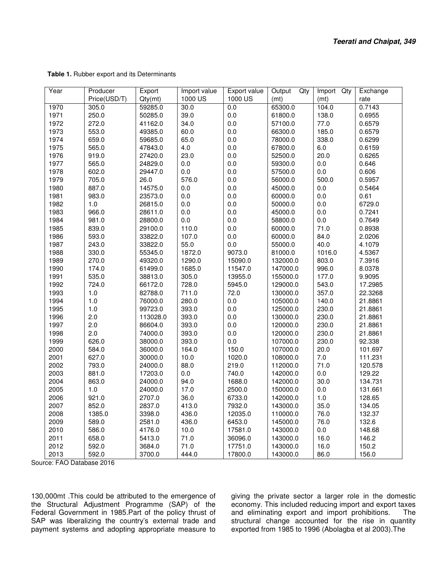| Year | Producer     | Export   | Import value | Export value | Output<br>Qty | Import Qty | Exchange |
|------|--------------|----------|--------------|--------------|---------------|------------|----------|
|      | Price(USD/T) | Qty(mt)  | 1000 US      | 1000 US      | (mt)          | (mt)       | rate     |
| 1970 | 305.0        | 59285.0  | 30.0         | 0.0          | 65300.0       | 104.0      | 0.7143   |
| 1971 | 250.0        | 50285.0  | 39.0         | 0.0          | 61800.0       | 138.0      | 0.6955   |
| 1972 | 272.0        | 41162.0  | 34.0         | 0.0          | 57100.0       | 77.0       | 0.6579   |
| 1973 | 553.0        | 49385.0  | 60.0         | 0.0          | 66300.0       | 185.0      | 0.6579   |
| 1974 | 659.0        | 59685.0  | 65.0         | 0.0          | 78000.0       | 338.0      | 0.6299   |
| 1975 | 565.0        | 47843.0  | 4.0          | 0.0          | 67800.0       | $6.0\,$    | 0.6159   |
| 1976 | 919.0        | 27420.0  | 23.0         | 0.0          | 52500.0       | 20.0       | 0.6265   |
| 1977 | 565.0        | 24829.0  | 0.0          | 0.0          | 59300.0       | $0.0\,$    | 0.646    |
| 1978 | 602.0        | 29447.0  | 0.0          | 0.0          | 57500.0       | $0.0\,$    | 0.606    |
| 1979 | 705.0        | 26.0     | 576.0        | 0.0          | 56000.0       | 500.0      | 0.5957   |
| 1980 | 887.0        | 14575.0  | 0.0          | 0.0          | 45000.0       | 0.0        | 0.5464   |
| 1981 | 983.0        | 23573.0  | $0.0\,$      | 0.0          | 60000.0       | $0.0\,$    | 0.61     |
| 1982 | 1.0          | 26815.0  | 0.0          | 0.0          | 50000.0       | $0.0\,$    | 6729.0   |
| 1983 | 966.0        | 28611.0  | 0.0          | 0.0          | 45000.0       | $0.0\,$    | 0.7241   |
| 1984 | 981.0        | 28800.0  | 0.0          | 0.0          | 58800.0       | $0.0\,$    | 0.7649   |
| 1985 | 839.0        | 29100.0  | 110.0        | 0.0          | 60000.0       | 71.0       | 0.8938   |
| 1986 | 593.0        | 33822.0  | 107.0        | 0.0          | 60000.0       | 84.0       | 2.0206   |
| 1987 | 243.0        | 33822.0  | 55.0         | 0.0          | 55000.0       | 40.0       | 4.1079   |
| 1988 | 330.0        | 55345.0  | 1872.0       | 9073.0       | 81000.0       | 1016.0     | 4.5367   |
| 1989 | 270.0        | 49320.0  | 1290.0       | 15090.0      | 132000.0      | 803.0      | 7.3916   |
| 1990 | 174.0        | 61499.0  | 1685.0       | 11547.0      | 147000.0      | 996.0      | 8.0378   |
| 1991 | 535.0        | 38813.0  | 305.0        | 13955.0      | 155000.0      | 177.0      | 9.9095   |
| 1992 | 724.0        | 66172.0  | 728.0        | 5945.0       | 129000.0      | 543.0      | 17.2985  |
| 1993 | 1.0          | 82788.0  | 711.0        | 72.0         | 130000.0      | 357.0      | 22.3268  |
| 1994 | 1.0          | 76000.0  | 280.0        | 0.0          | 105000.0      | 140.0      | 21.8861  |
| 1995 | $1.0$        | 99723.0  | 393.0        | 0.0          | 125000.0      | 230.0      | 21.8861  |
| 1996 | 2.0          | 113028.0 | 393.0        | 0.0          | 130000.0      | 230.0      | 21.8861  |
| 1997 | 2.0          | 86604.0  | 393.0        | 0.0          | 120000.0      | 230.0      | 21.8861  |
| 1998 | 2.0          | 74000.0  | 393.0        | 0.0          | 120000.0      | 230.0      | 21.8861  |
| 1999 | 626.0        | 38000.0  | 393.0        | 0.0          | 107000.0      | 230.0      | 92.338   |
| 2000 | 584.0        | 36000.0  | 164.0        | 150.0        | 107000.0      | 20.0       | 101.697  |
| 2001 | 627.0        | 30000.0  | 10.0         | 1020.0       | 108000.0      | 7.0        | 111.231  |
| 2002 | 793.0        | 24000.0  | 88.0         | 219.0        | 112000.0      | 71.0       | 120.578  |
| 2003 | 881.0        | 17203.0  | 0.0          | 740.0        | 142000.0      | $0.0\,$    | 129.22   |
| 2004 | 863.0        | 24000.0  | 94.0         | 1688.0       | 142000.0      | 30.0       | 134.731  |
| 2005 | $1.0$        | 24000.0  | 17.0         | 2500.0       | 150000.0      | $0.0\,$    | 131.661  |
| 2006 | 921.0        | 2707.0   | 36.0         | 6733.0       | 142000.0      | 1.0        | 128.65   |
| 2007 | 852.0        | 2837.0   | 413.0        | 7932.0       | 143000.0      | 35.0       | 134.05   |
| 2008 | 1385.0       | 3398.0   | 436.0        | 12035.0      | 110000.0      | 76.0       | 132.37   |
| 2009 | 589.0        | 2581.0   | 436.0        | 6453.0       | 145000.0      | 76.0       | 132.6    |
| 2010 | 586.0        | 4176.0   | 10.0         | 17581.0      | 143000.0      | 0.0        | 148.68   |
| 2011 | 658.0        | 5413.0   | 71.0         | 36096.0      | 143000.0      | 16.0       | 146.2    |
| 2012 | 592.0        | 3684.0   | 71.0         | 17751.0      | 143000.0      | 16.0       | 150.2    |
| 2013 | 592.0        | 3700.0   | 444.0        | 17800.0      | 143000.0      | 86.0       | 156.0    |

**Table 1.** Rubber export and its Determinants

Source: FAO Database 2016

130,000mt .This could be attributed to the emergence of the Structural Adjustment Programme (SAP) of the Federal Government in 1985.Part of the policy thrust of SAP was liberalizing the country's external trade and payment systems and adopting appropriate measure to

giving the private sector a larger role in the domestic economy. This included reducing import and export taxes and eliminating export and import prohibitions. The structural change accounted for the rise in quantity exported from 1985 to 1996 (Abolagba et al 2003).The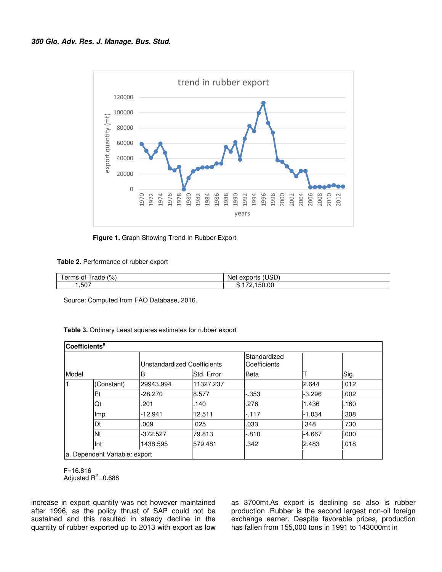

**Figure 1.** Graph Showing Trend In Rubber Export

|  | Table 2. Performance of rubber export |  |  |
|--|---------------------------------------|--|--|
|--|---------------------------------------|--|--|

| (9)<br><br>$\sim$ $\sim$ $\sim$ $\sim$<br>0t<br>erms<br>raoe | $\left(1,1\right)$<br>Ne<br><b>AIR</b><br>.<br>. שטעיי<br>1 K H I !<br>e a |
|--------------------------------------------------------------|----------------------------------------------------------------------------|
| .,507                                                        | $\sim$<br>œ<br>.UC<br>ำ .<br>w                                             |

Source: Computed from FAO Database, 2016.

|  | Table 3. Ordinary Least squares estimates for rubber export |  |  |
|--|-------------------------------------------------------------|--|--|
|--|-------------------------------------------------------------|--|--|

| <b>Coefficients<sup>a</sup></b> |                               |                                    |            |                              |          |      |
|---------------------------------|-------------------------------|------------------------------------|------------|------------------------------|----------|------|
|                                 |                               | <b>Unstandardized Coefficients</b> |            | Standardized<br>Coefficients |          |      |
| Model                           |                               | B                                  | Std. Error | Beta                         |          | Sig. |
|                                 | (Constant)                    | 29943.994                          | 11327.237  |                              | 2.644    | .012 |
|                                 | Pt                            | $-28.270$                          | 8.577      | $-0.353$                     | $-3.296$ | .002 |
|                                 | Qt                            | .201                               | .140       | .276                         | 1.436    | .160 |
|                                 | Imp                           | $-12.941$                          | 12.511     | $-117$                       | $-1.034$ | .308 |
|                                 | Dt                            | .009                               | .025       | .033                         | .348     | .730 |
|                                 | <b>Nt</b>                     | $-372.527$                         | 79.813     | $-0.810$                     | $-4.667$ | .000 |
|                                 | Int                           | 1438.595                           | 579.481    | .342                         | 2.483    | .018 |
|                                 | a. Dependent Variable: export |                                    |            |                              |          |      |

F=16.816 Adjusted  $R^2$ =0.688

increase in export quantity was not however maintained after 1996, as the policy thrust of SAP could not be sustained and this resulted in steady decline in the quantity of rubber exported up to 2013 with export as low

as 3700mt.As export is declining so also is rubber production .Rubber is the second largest non-oil foreign exchange earner. Despite favorable prices, production has fallen from 155,000 tons in 1991 to 143000mt in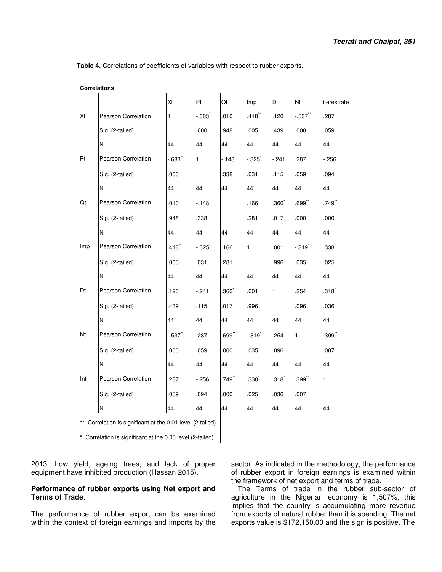**Table 4.** Correlations of coefficients of variables with respect to rubber exports.

|           | <b>Correlations</b>        |           |          |         |                  |                  |                  |             |
|-----------|----------------------------|-----------|----------|---------|------------------|------------------|------------------|-------------|
|           |                            | Xt        | Pt       | Qt      | Imp              | Dt               | Nt               | iterestrate |
| Xt        | Pearson Correlation        | 1         | $-0.683$ | .010    | $.418$ **        | .120             | $-.537$          | .287        |
|           | Sig. (2-tailed)            |           | .000     | .948    | .005             | .439             | .000             | .059        |
|           | N                          | 44        | 44       | 44      | 44               | 44               | 44               | 44          |
| Pt        | Pearson Correlation        | $-683"$   | 1        | $-.148$ | -.325゛           | $-241$           | 287              | $-256$      |
|           | Sig. (2-tailed)            | 000       |          | .338    | .031             | .115             | .059             | .094        |
|           | N                          | 44        | 44       | 44      | 44               | 44               | 44               | 44          |
| Qt        | Pearson Correlation        | .010      | $-.148$  | 1       | .166             | .360`            | .699**           | .749**      |
|           | Sig. (2-tailed)            | .948      | .338     |         | 281              | .017             | .000             | .000        |
|           | N                          | 44        | 44       | 44      | 44               | 44               | 44               | 44          |
| Imp       | Pearson Correlation        | $.418$ ** | -.325゛   | .166    | 1                | .001             | -.319້           | .338˚       |
|           | Sig. (2-tailed)            | .005      | .031     | .281    |                  | .996             | .035             | 025         |
|           | N                          | 44        | 44       | 44      | 44               | 44               | 44               | 44          |
| Dt        | Pearson Correlation        | .120      | $-241$   | .360`   | .001             | $\mathbf{1}$     | 254              | .318້       |
|           | Sig. (2-tailed)            | .439      | .115     | .017    | .996             |                  | .096             | .036        |
|           | N                          | 44        | 44       | 44      | 44               | 44               | 44               | 44          |
| <b>Nt</b> | <b>Pearson Correlation</b> | -.537゛    | .287     | .699¨   | -.319້           | .254             | $\mathbf{1}$     | $.399^{**}$ |
|           | Sig. (2-tailed)            | .000      | .059     | .000    | .035             | .096             |                  | .007        |
|           | N                          | 44        | 44       | 44      | 44               | 44               | 44               | 44          |
| Int       | Pearson Correlation        | 287       | $-256$   | .749    | $.338^{\degree}$ | $.318^{\degree}$ | $.399$ $\degree$ | 1           |
|           | Sig. (2-tailed)            | .059      | .094     | .000    | .025             | .036             | .007             |             |
|           | N                          | 44        | 44       | 44      | 44               | 44               | 44               | 44          |

2013. Low yield, ageing trees, and lack of proper equipment have inhibited production (Hassan 2015).

#### **Performance of rubber exports using Net export and Terms of Trade**.

The performance of rubber export can be examined within the context of foreign earnings and imports by the

sector. As indicated in the methodology, the performance of rubber export in foreign earnings is examined within the framework of net export and terms of trade.

The Terms of trade in the rubber sub-sector of agriculture in the Nigerian economy is 1,507%, this implies that the country is accumulating more revenue from exports of natural rubber than it is spending. The net exports value is \$172,150.00 and the sign is positive. The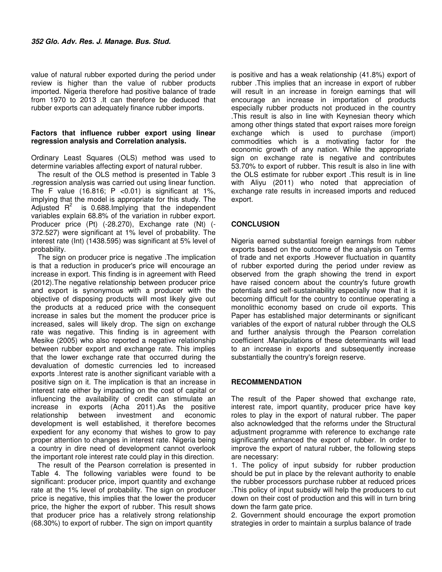value of natural rubber exported during the period under review is higher than the value of rubber products imported. Nigeria therefore had positive balance of trade from 1970 to 2013 .It can therefore be deduced that rubber exports can adequately finance rubber imports.

#### **Factors that influence rubber export using linear regression analysis and Correlation analysis.**

Ordinary Least Squares (OLS) method was used to determine variables affecting export of natural rubber.

The result of the OLS method is presented in Table 3 .regression analysis was carried out using linear function. The F value  $(16.816; P < 0.01)$  is significant at 1%, implying that the model is appropriate for this study. The Adjusted  $R^2$  is 0.688.Implying that the independent variables explain 68.8% of the variation in rubber export. Producer price (Pt) (-28.270), Exchange rate (Nt) (- 372.527) were significant at 1% level of probability. The interest rate (Int) (1438.595) was significant at 5% level of probability.

The sign on producer price is negative .The implication is that a reduction in producer's price will encourage an increase in export. This finding is in agreement with Reed (2012).The negative relationship between producer price and export is synonymous with a producer with the objective of disposing products will most likely give out the products at a reduced price with the consequent increase in sales but the moment the producer price is increased, sales will likely drop. The sign on exchange rate was negative. This finding is in agreement with Mesike (2005) who also reported a negative relationship between rubber export and exchange rate. This implies that the lower exchange rate that occurred during the devaluation of domestic currencies led to increased exports .Interest rate is another significant variable with a positive sign on it. The implication is that an increase in interest rate either by impacting on the cost of capital or influencing the availability of credit can stimulate an increase in exports (Acha 2011).As the positive relationship between investment and economic development is well established, it therefore becomes expedient for any economy that wishes to grow to pay proper attention to changes in interest rate. Nigeria being a country in dire need of development cannot overlook the important role interest rate could play in this direction.

The result of the Pearson correlation is presented in Table 4. The following variables were found to be significant: producer price, import quantity and exchange rate at the 1% level of probability. The sign on producer price is negative, this implies that the lower the producer price, the higher the export of rubber. This result shows that producer price has a relatively strong relationship (68.30%) to export of rubber. The sign on import quantity

is positive and has a weak relationship (41.8%) export of rubber .This implies that an increase in export of rubber will result in an increase in foreign earnings that will encourage an increase in importation of products especially rubber products not produced in the country .This result is also in line with Keynesian theory which among other things stated that export raises more foreign exchange which is used to purchase (import) commodities which is a motivating factor for the economic growth of any nation. While the appropriate sign on exchange rate is negative and contributes 53.70% to export of rubber. This result is also in line with the OLS estimate for rubber export .This result is in line with Aliyu (2011) who noted that appreciation of exchange rate results in increased imports and reduced export.

### **CONCLUSION**

Nigeria earned substantial foreign earnings from rubber exports based on the outcome of the analysis on Terms of trade and net exports .However fluctuation in quantity of rubber exported during the period under review as observed from the graph showing the trend in export have raised concern about the country's future growth potentials and self-sustainability especially now that it is becoming difficult for the country to continue operating a monolithic economy based on crude oil exports. This Paper has established major determinants or significant variables of the export of natural rubber through the OLS and further analysis through the Pearson correlation coefficient .Manipulations of these determinants will lead to an increase in exports and subsequently increase substantially the country's foreign reserve.

#### **RECOMMENDATION**

The result of the Paper showed that exchange rate, interest rate, import quantity, producer price have key roles to play in the export of natural rubber. The paper also acknowledged that the reforms under the Structural adjustment programme with reference to exchange rate significantly enhanced the export of rubber. In order to improve the export of natural rubber, the following steps are necessary:

1. The policy of input subsidy for rubber production should be put in place by the relevant authority to enable the rubber processors purchase rubber at reduced prices .This policy of input subsidy will help the producers to cut down on their cost of production and this will in turn bring down the farm gate price.

2. Government should encourage the export promotion strategies in order to maintain a surplus balance of trade